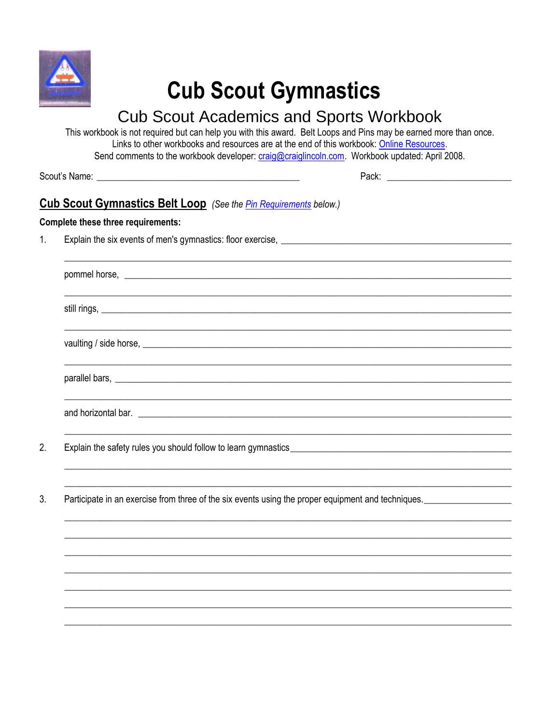

# **Cub Scout Gymnastics**

## **Cub Scout Academics and Sports Workbook**

This workbook is not required but can help you with this award. Belt Loops and Pins may be earned more than once. Links to other workbooks and resources are at the end of this workbook: Online Resources. Send comments to the workbook developer: craig@craiglincoln.com. Workbook updated: April 2008.

 $2.$ 

### **Cub Scout Gymnastics Belt Loop** (See the *Pin Requirements below.)*

#### **Complete these three requirements:**

Explain the six events of men's gymnastics: floor exercise, **Explaining and Serverse** exercise of the six events of men's gymnastics: floor exercise,  $1<sub>1</sub>$ 

| pommel horse, <u>experience and the set of the set of the set of the set of the set of the set of the set of the set of the set of the set of the set of the set of the set of the set of the set of the set of the set of the s</u> |  |
|--------------------------------------------------------------------------------------------------------------------------------------------------------------------------------------------------------------------------------------|--|
| still rings, <u>example and the set of the set of the set of the set of the set of the set of the set of the set of the set of the set of the set of the set of the set of the set of the set of the set of the set of the set o</u> |  |
|                                                                                                                                                                                                                                      |  |
|                                                                                                                                                                                                                                      |  |
|                                                                                                                                                                                                                                      |  |
| Explain the safety rules you should follow to learn gymnastics__________________                                                                                                                                                     |  |

 $3.$ Participate in an exercise from three of the six events using the proper equipment and techniques.